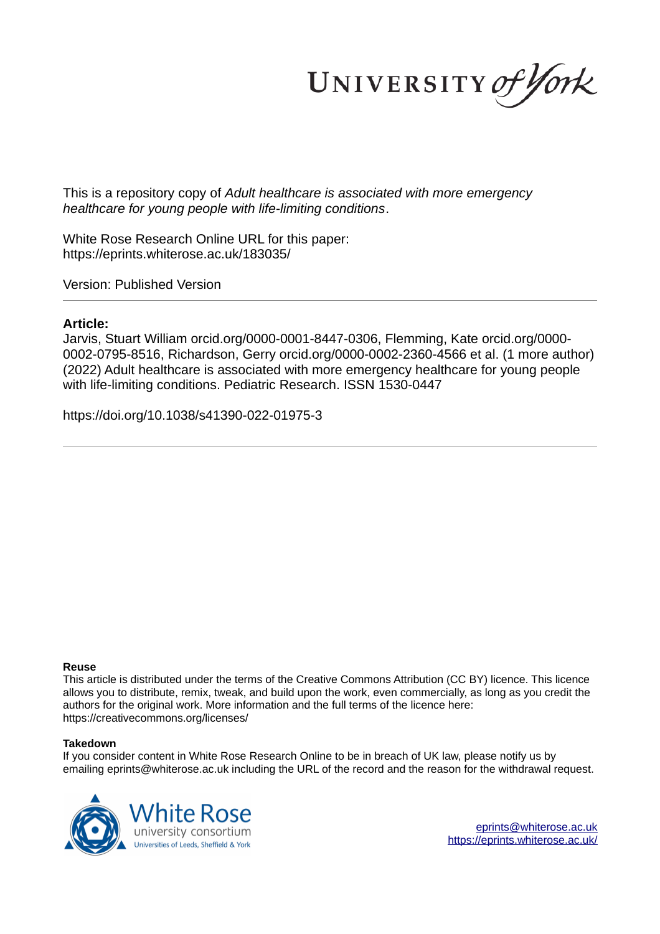UNIVERSITY of York

This is a repository copy of *Adult healthcare is associated with more emergency healthcare for young people with life-limiting conditions*.

White Rose Research Online URL for this paper: https://eprints.whiterose.ac.uk/183035/

Version: Published Version

# **Article:**

Jarvis, Stuart William orcid.org/0000-0001-8447-0306, Flemming, Kate orcid.org/0000- 0002-0795-8516, Richardson, Gerry orcid.org/0000-0002-2360-4566 et al. (1 more author) (2022) Adult healthcare is associated with more emergency healthcare for young people with life-limiting conditions. Pediatric Research. ISSN 1530-0447

https://doi.org/10.1038/s41390-022-01975-3

# **Reuse**

This article is distributed under the terms of the Creative Commons Attribution (CC BY) licence. This licence allows you to distribute, remix, tweak, and build upon the work, even commercially, as long as you credit the authors for the original work. More information and the full terms of the licence here: https://creativecommons.org/licenses/

# **Takedown**

If you consider content in White Rose Research Online to be in breach of UK law, please notify us by emailing eprints@whiterose.ac.uk including the URL of the record and the reason for the withdrawal request.

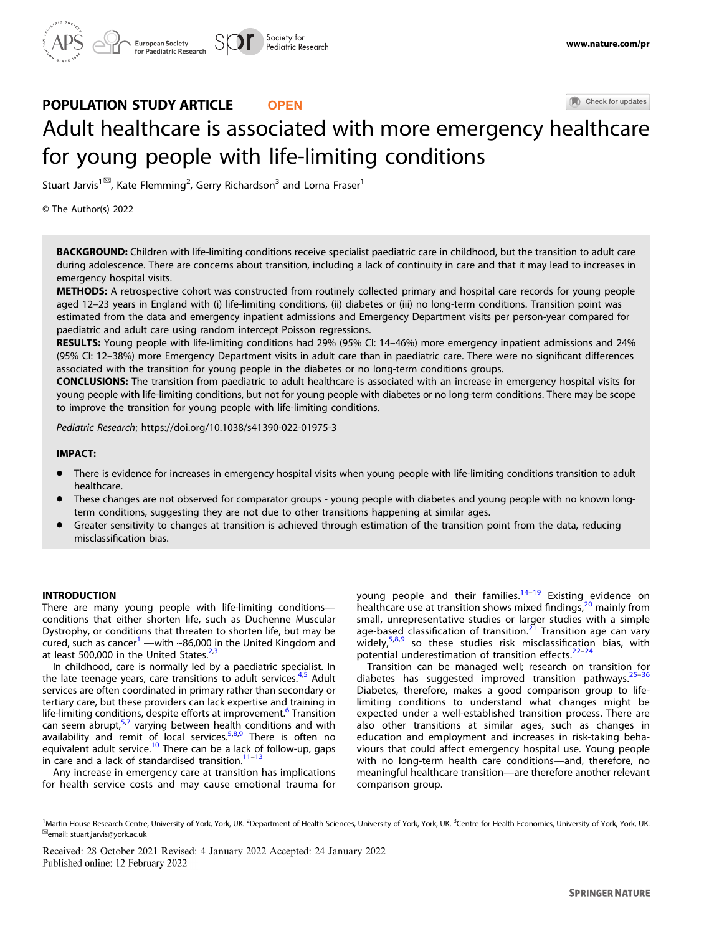Check for updates

# Adult healthcare is associated with more emergency h[e](http://crossmark.crossref.org/dialog/?doi=10.1038/s41390-022-01975-3&domain=pdf)althcare for young people with life-limiting conditions

Stuart Jarvis<sup>1⊠</sup>, Kate Flemming<sup>2</sup>, Gerry Richardson<sup>3</sup> and Lorna Fraser<sup>1</sup>

© The Author(s) 2022

BACKGROUND: Children with life-limiting conditions receive specialist paediatric care in childhood, but the transition to adult care during adolescence. There are concerns about transition, including a lack of continuity in care and that it may lead to increases in emergency hospital visits.

METHODS: A retrospective cohort was constructed from routinely collected primary and hospital care records for young people aged 12–23 years in England with (i) life-limiting conditions, (ii) diabetes or (iii) no long-term conditions. Transition point was estimated from the data and emergency inpatient admissions and Emergency Department visits per person-year compared for paediatric and adult care using random intercept Poisson regressions.

RESULTS: Young people with life-limiting conditions had 29% (95% CI: 14–46%) more emergency inpatient admissions and 24% (95% CI: 12–38%) more Emergency Department visits in adult care than in paediatric care. There were no significant differences associated with the transition for young people in the diabetes or no long-term conditions groups.

CONCLUSIONS: The transition from paediatric to adult healthcare is associated with an increase in emergency hospital visits for young people with life-limiting conditions, but not for young people with diabetes or no long-term conditions. There may be scope to improve the transition for young people with life-limiting conditions.

Pediatric Research;<https://doi.org/10.1038/s41390-022-01975-3>

# IMPACT:

- There is evidence for increases in emergency hospital visits when young people with life-limiting conditions transition to adult healthcare.
- These changes are not observed for comparator groups young people with diabetes and young people with no known longterm conditions, suggesting they are not due to other transitions happening at similar ages.
- Greater sensitivity to changes at transition is achieved through estimation of the transition point from the data, reducing misclassification bias.

#### **INTRODUCTION**

There are many young people with life-limiting conditions conditions that either shorten life, such as Duchenne Muscular Dystrophy, or conditions that threaten to shorten life, but may be cured, such as cancer<sup>[1](#page-11-0)</sup> —with ~86,000 in the United Kingdom and at least 500,000 in the United States. $2,3$ 

In childhood, care is normally led by a paediatric specialist. In the late teenage years, care transitions to adult services.<sup>[4,5](#page-11-0)</sup> Adult services are often coordinated in primary rather than secondary or tertiary care, but these providers can lack expertise and training in life-limiting conditions, despite efforts at improvement.<sup>[6](#page-11-0)</sup> Transition can seem abrupt,<sup>[5,7](#page-11-0)</sup> varying between health conditions and with availability and remit of local services.<sup>[5,8,9](#page-11-0)</sup> There is often no equivalent adult service.<sup>[10](#page-11-0)</sup> There can be a lack of follow-up, gaps in care and a lack of standardised transition. $11$ 

Any increase in emergency care at transition has implications for health service costs and may cause emotional trauma for young people and their families.<sup>[14](#page-11-0)-[19](#page-11-0)</sup> Existing evidence on healthcare use at transition shows mixed findings,<sup>[20](#page-11-0)</sup> mainly from small, unrepresentative studies or larger studies with a simple age-based classification of transition.<sup>[21](#page-11-0)</sup> Transition age can vary widely,<sup>[5,8,9](#page-11-0)</sup> so these studies risk misclassification bias, with potential underestimation of transition effects. $22-24$  $22-24$  $22-24$ 

Transition can be managed well; research on transition for diabetes has suggested improved transition pathways.<sup>[25](#page-11-0)-[36](#page-11-0)</sup> Diabetes, therefore, makes a good comparison group to lifelimiting conditions to understand what changes might be expected under a well-established transition process. There are also other transitions at similar ages, such as changes in education and employment and increases in risk-taking behaviours that could affect emergency hospital use. Young people with no long-term health care conditions—and, therefore, no meaningful healthcare transition—are therefore another relevant comparison group.

Received: 28 October 2021 Revised: 4 January 2022 Accepted: 24 January 2022

<sup>&</sup>lt;sup>1</sup>Martin House Research Centre, University of York, York, UK. <sup>2</sup>Department of Health Sciences, University of York, York, UK. <sup>3</sup>Centre for Health Economics, University of York, York, UK. ✉email: [stuart.jarvis@york.ac.uk](mailto:stuart.jarvis@york.ac.uk)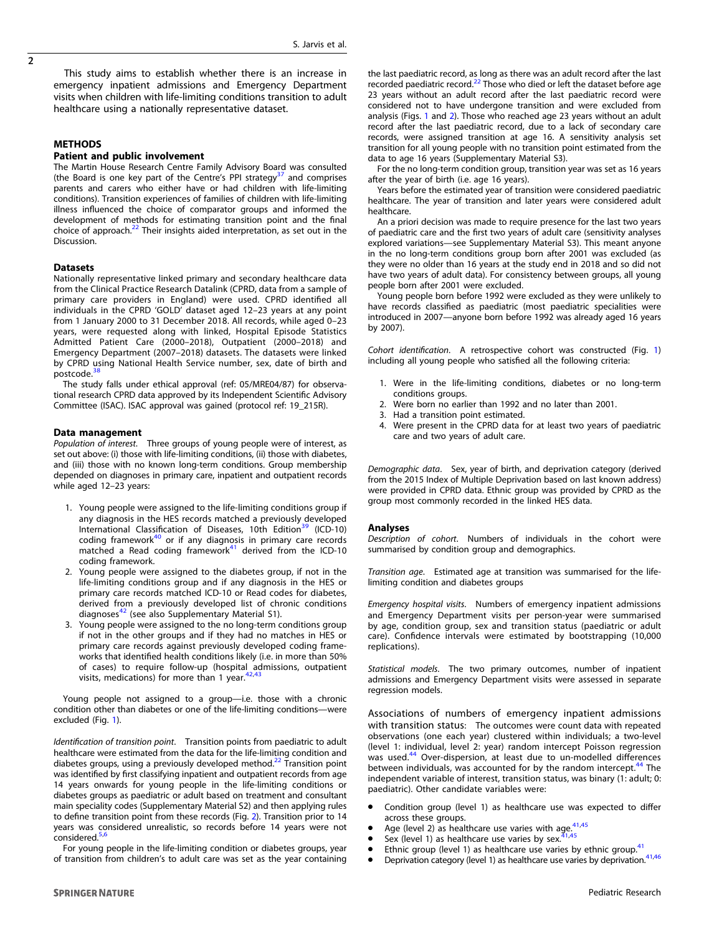This study aims to establish whether there is an increase in emergency inpatient admissions and Emergency Department visits when children with life-limiting conditions transition to adult healthcare using a nationally representative dataset.

# METHODS

# Patient and public involvement

The Martin House Research Centre Family Advisory Board was consulted (the Board is one key part of the Centre's PPI strategy $37$  and comprises parents and carers who either have or had children with life-limiting conditions). Transition experiences of families of children with life-limiting illness influenced the choice of comparator groups and informed the development of methods for estimating transition point and the final choice of approach.<sup>[22](#page-11-0)</sup> Their insights aided interpretation, as set out in the Discussion.

#### **Datasets**

Nationally representative linked primary and secondary healthcare data from the Clinical Practice Research Datalink (CPRD, data from a sample of primary care providers in England) were used. CPRD identified all individuals in the CPRD 'GOLD' dataset aged 12–23 years at any point from 1 January 2000 to 31 December 2018. All records, while aged 0–23 years, were requested along with linked, Hospital Episode Statistics Admitted Patient Care (2000–2018), Outpatient (2000–2018) and Emergency Department (2007–2018) datasets. The datasets were linked by CPRD using National Health Service number, sex, date of birth and postcode.<sup>3</sup>

The study falls under ethical approval (ref: 05/MRE04/87) for observational research CPRD data approved by its Independent Scientific Advisory Committee (ISAC). ISAC approval was gained (protocol ref: 19\_215R).

#### Data management

*Population of interest*. Three groups of young people were of interest, as set out above: (i) those with life-limiting conditions, (ii) those with diabetes, and (iii) those with no known long-term conditions. Group membership depended on diagnoses in primary care, inpatient and outpatient records while aged 12–23 years:

- 1. Young people were assigned to the life-limiting conditions group if any diagnosis in the HES records matched a previously developed International Classification of Diseases, 10th Edition<sup>[39](#page-11-0)</sup> (ICD-10) coding framework $40$  or if any diagnosis in primary care records matched a Read coding framework $41$  derived from the ICD-10 coding framework.
- 2. Young people were assigned to the diabetes group, if not in the life-limiting conditions group and if any diagnosis in the HES or primary care records matched ICD-10 or Read codes for diabetes, derived from a previously developed list of chronic conditions diagnoses<sup>[42](#page-11-0)</sup> (see also Supplementary Material S1).
- 3. Young people were assigned to the no long-term conditions group if not in the other groups and if they had no matches in HES or primary care records against previously developed coding frameworks that identified health conditions likely (i.e. in more than 50% of cases) to require follow-up (hospital admissions, outpatient<br>visits, medications) for more than 1 year.<sup>[42,43](#page-11-0)</sup>

Young people not assigned to a group—i.e. those with a chronic condition other than diabetes or one of the life-limiting conditions—were excluded (Fig. [1\)](#page-3-0).

*Identi*fi*cation of transition point*. Transition points from paediatric to adult healthcare were estimated from the data for the life-limiting condition and diabetes groups, using a previously developed method.<sup>[22](#page-11-0)</sup> Transition point was identified by first classifying inpatient and outpatient records from age 14 years onwards for young people in the life-limiting conditions or diabetes groups as paediatric or adult based on treatment and consultant main speciality codes (Supplementary Material S2) and then applying rules to define transition point from these records (Fig. [2\)](#page-4-0). Transition prior to 14 years was considered unrealistic, so records before 14 years were not considered.<sup>[5,6](#page-11-0)</sup>

For young people in the life-limiting condition or diabetes groups, year of transition from children's to adult care was set as the year containing

the last paediatric record, as long as there was an adult record after the last recorded paediatric record.[22](#page-11-0) Those who died or left the dataset before age 23 years without an adult record after the last paediatric record were considered not to have undergone transition and were excluded from analysis (Figs. [1](#page-3-0) and [2](#page-4-0)). Those who reached age 23 years without an adult record after the last paediatric record, due to a lack of secondary care records, were assigned transition at age 16. A sensitivity analysis set transition for all young people with no transition point estimated from the data to age 16 years (Supplementary Material S3).

For the no long-term condition group, transition year was set as 16 years after the year of birth (i.e. age 16 years).

Years before the estimated year of transition were considered paediatric healthcare. The year of transition and later years were considered adult healthcare.

An a priori decision was made to require presence for the last two vears of paediatric care and the first two years of adult care (sensitivity analyses explored variations—see Supplementary Material S3). This meant anyone in the no long-term conditions group born after 2001 was excluded (as they were no older than 16 years at the study end in 2018 and so did not have two years of adult data). For consistency between groups, all young people born after 2001 were excluded.

Young people born before 1992 were excluded as they were unlikely to have records classified as paediatric (most paediatric specialities were introduced in 2007—anyone born before 1992 was already aged 16 years by 2007).

*Cohort identi*fi*cation*. A retrospective cohort was constructed (Fig. [1](#page-3-0)) including all young people who satisfied all the following criteria:

- 1. Were in the life-limiting conditions, diabetes or no long-term conditions groups.
- 2. Were born no earlier than 1992 and no later than 2001.
- 3. Had a transition point estimated.
- 4. Were present in the CPRD data for at least two years of paediatric care and two years of adult care.

*Demographic data*. Sex, year of birth, and deprivation category (derived from the 2015 Index of Multiple Deprivation based on last known address) were provided in CPRD data. Ethnic group was provided by CPRD as the group most commonly recorded in the linked HES data.

#### Analyses

*Description of cohort*. Numbers of individuals in the cohort were summarised by condition group and demographics.

*Transition age*. Estimated age at transition was summarised for the lifelimiting condition and diabetes groups

*Emergency hospital visits*. Numbers of emergency inpatient admissions and Emergency Department visits per person-year were summarised by age, condition group, sex and transition status (paediatric or adult care). Confidence intervals were estimated by bootstrapping (10,000 replications).

*Statistical models*. The two primary outcomes, number of inpatient admissions and Emergency Department visits were assessed in separate regression models.

Associations of numbers of emergency inpatient admissions with transition status: The outcomes were count data with repeated observations (one each year) clustered within individuals; a two-level (level 1: individual, level 2: year) random intercept Poisson regression was used.<sup>[44](#page-11-0)</sup> Over-dispersion, at least due to un-modelled differences between individuals, was accounted for by the random intercept.<sup>[44](#page-11-0)</sup> The independent variable of interest, transition status, was binary (1: adult; 0: paediatric). Other candidate variables were:

- Condition group (level 1) as healthcare use was expected to differ across these groups.
- Age (level 2) as healthcare use varies with age. $41,45$
- Sex (level 1) as healthcare use varies by sex.<sup>2</sup>
- Ethnic group (level 1) as healthcare use varies by ethnic group.<sup>[41](#page-11-0)</sup>
- Deprivation category (level 1) as healthcare use varies by deprivation.<sup>[41,46](#page-11-0)</sup>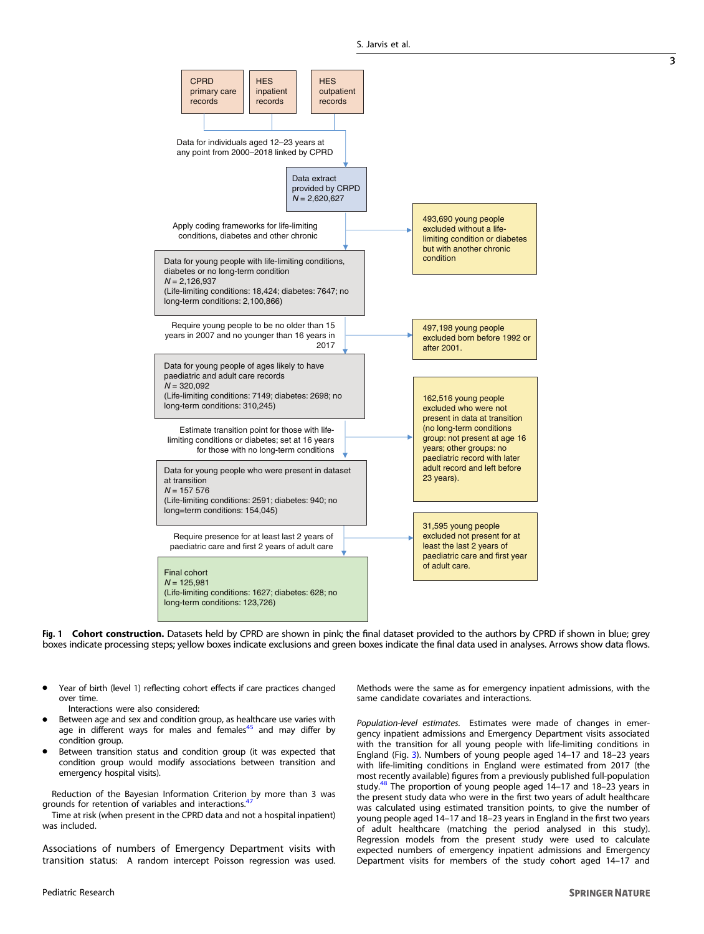<span id="page-3-0"></span>

Fig. 1 Cohort construction. Datasets held by CPRD are shown in pink; the final dataset provided to the authors by CPRD if shown in blue; grey boxes indicate processing steps; yellow boxes indicate exclusions and green boxes indicate the final data used in analyses. Arrows show data flows.

- Year of birth (level 1) reflecting cohort effects if care practices changed over time.
	- Interactions were also considered:
- Between age and sex and condition group, as healthcare use varies with age in different ways for males and females<sup>[45](#page-11-0)</sup> and may differ by condition group.
- Between transition status and condition group (it was expected that condition group would modify associations between transition and emergency hospital visits).

Reduction of the Bayesian Information Criterion by more than 3 was grounds for retention of variables and interactions.<sup>4</sup>

Time at risk (when present in the CPRD data and not a hospital inpatient) was included.

Associations of numbers of Emergency Department visits with transition status: A random intercept Poisson regression was used. Methods were the same as for emergency inpatient admissions, with the same candidate covariates and interactions.

*Population-level estimates*. Estimates were made of changes in emergency inpatient admissions and Emergency Department visits associated with the transition for all young people with life-limiting conditions in England (Fig. [3\)](#page-5-0). Numbers of young people aged 14–17 and 18–23 years with life-limiting conditions in England were estimated from 2017 (the most recently available) figures from a previously published full-population study.<sup>[48](#page-11-0)</sup> The proportion of young people aged 14–17 and 18–23 years in the present study data who were in the first two years of adult healthcare was calculated using estimated transition points, to give the number of young people aged 14–17 and 18–23 years in England in the first two years of adult healthcare (matching the period analysed in this study). Regression models from the present study were used to calculate expected numbers of emergency inpatient admissions and Emergency Department visits for members of the study cohort aged 14–17 and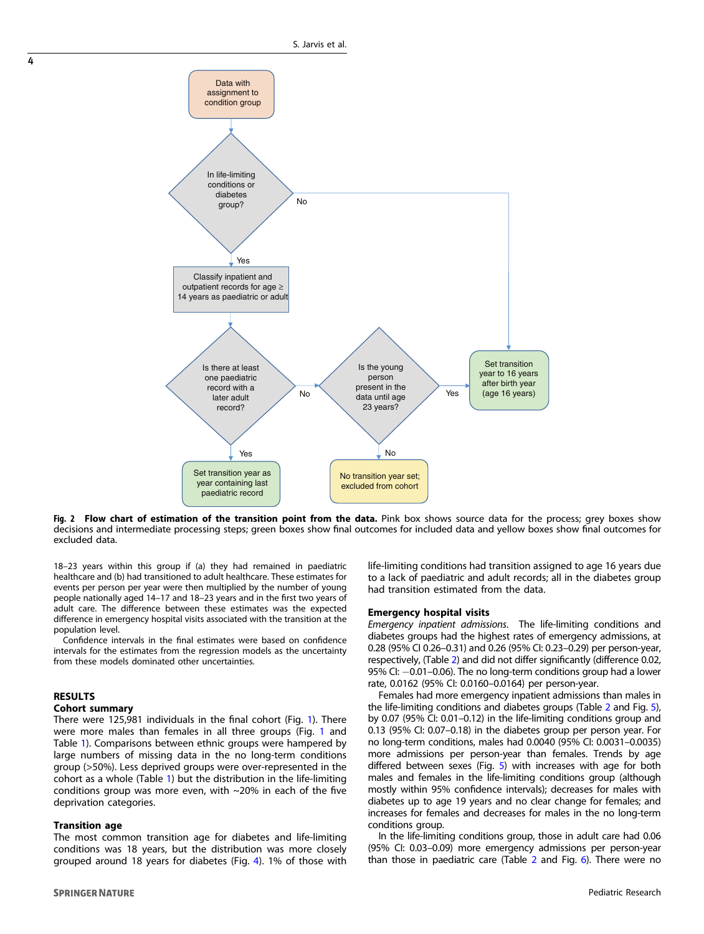<span id="page-4-0"></span>

Fig. 2 Flow chart of estimation of the transition point from the data. Pink box shows source data for the process; grey boxes show decisions and intermediate processing steps; green boxes show final outcomes for included data and yellow boxes show final outcomes for excluded data.

18–23 years within this group if (a) they had remained in paediatric healthcare and (b) had transitioned to adult healthcare. These estimates for events per person per year were then multiplied by the number of young people nationally aged 14–17 and 18–23 years and in the first two years of adult care. The difference between these estimates was the expected difference in emergency hospital visits associated with the transition at the population level.

Confidence intervals in the final estimates were based on confidence intervals for the estimates from the regression models as the uncertainty from these models dominated other uncertainties.

#### RESULTS

#### Cohort summary

There were 125,981 individuals in the final cohort (Fig. [1\)](#page-3-0). There were more males than females in all three groups (Fig. [1](#page-3-0) and Table [1\)](#page-6-0). Comparisons between ethnic groups were hampered by large numbers of missing data in the no long-term conditions group (>50%). Less deprived groups were over-represented in the cohort as a whole (Table [1](#page-6-0)) but the distribution in the life-limiting conditions group was more even, with  $\sim$ 20% in each of the five deprivation categories.

### Transition age

The most common transition age for diabetes and life-limiting conditions was 18 years, but the distribution was more closely grouped around 18 years for diabetes (Fig. [4](#page-6-0)). 1% of those with

**SPRINGER NATURE** 

life-limiting conditions had transition assigned to age 16 years due to a lack of paediatric and adult records; all in the diabetes group had transition estimated from the data.

# Emergency hospital visits

*Emergency inpatient admissions*. The life-limiting conditions and diabetes groups had the highest rates of emergency admissions, at 0.28 (95% CI 0.26–0.31) and 0.26 (95% CI: 0.23–0.29) per person-year, respectively, (Table [2\)](#page-7-0) and did not differ significantly (difference 0.02, 95% CI: -0.01-0.06). The no long-term conditions group had a lower rate, 0.0162 (95% CI: 0.0160–0.0164) per person-year.

Females had more emergency inpatient admissions than males in the life-limiting conditions and diabetes groups (Table [2](#page-7-0) and Fig. [5](#page-7-0)), by 0.07 (95% CI: 0.01–0.12) in the life-limiting conditions group and 0.13 (95% CI: 0.07–0.18) in the diabetes group per person year. For no long-term conditions, males had 0.0040 (95% CI: 0.0031–0.0035) more admissions per person-year than females. Trends by age differed between sexes (Fig. [5\)](#page-7-0) with increases with age for both males and females in the life-limiting conditions group (although mostly within 95% confidence intervals); decreases for males with diabetes up to age 19 years and no clear change for females; and increases for females and decreases for males in the no long-term conditions group.

In the life-limiting conditions group, those in adult care had 0.06 (95% CI: 0.03–0.09) more emergency admissions per person-year than those in paediatric care (Table [2](#page-7-0) and Fig. [6](#page-8-0)). There were no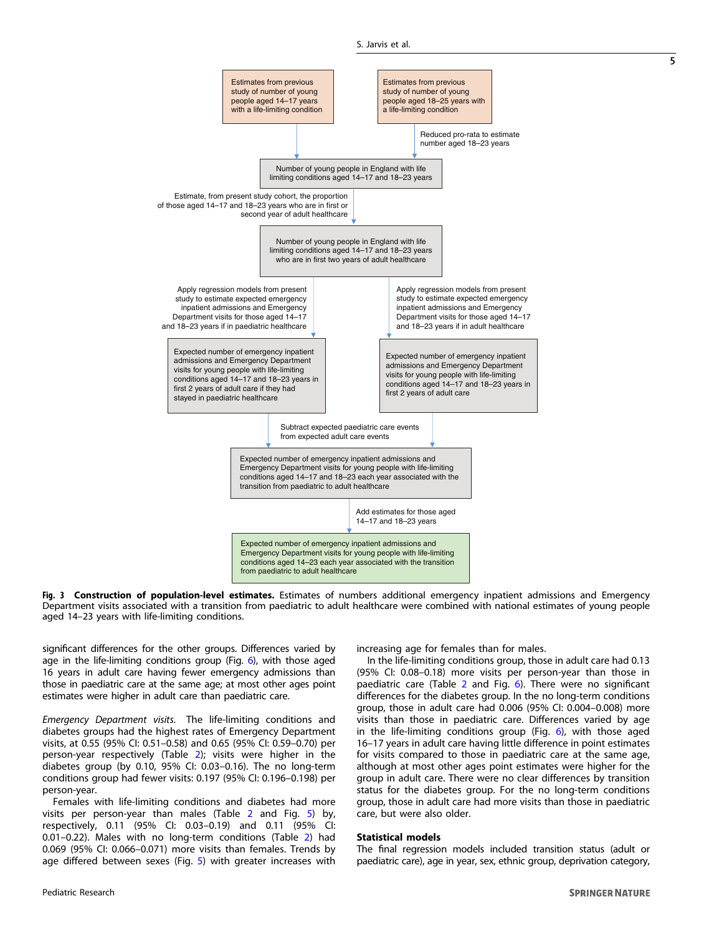<span id="page-5-0"></span>

Fig. 3 Construction of population-level estimates. Estimates of numbers additional emergency inpatient admissions and Emergency Department visits associated with a transition from paediatric to adult healthcare were combined with national estimates of young people aged 14–23 years with life-limiting conditions.

significant differences for the other groups. Differences varied by age in the life-limiting conditions group (Fig. [6](#page-8-0)), with those aged 16 years in adult care having fewer emergency admissions than those in paediatric care at the same age; at most other ages point estimates were higher in adult care than paediatric care.

*Emergency Department visits*. The life-limiting conditions and diabetes groups had the highest rates of Emergency Department visits, at 0.55 (95% CI: 0.51–0.58) and 0.65 (95% CI: 0.59–0.70) per person-year respectively (Table [2\)](#page-7-0); visits were higher in the diabetes group (by 0.10, 95% CI: 0.03–0.16). The no long-term conditions group had fewer visits: 0.197 (95% CI: 0.196–0.198) per person-year.

Females with life-limiting conditions and diabetes had more visits per person-year than males (Table [2](#page-7-0) and Fig. [5](#page-7-0)) by, respectively, 0.11 (95% CI: 0.03–0.19) and 0.11 (95% CI: 0.01–0.22). Males with no long-term conditions (Table [2](#page-7-0)) had 0.069 (95% CI: 0.066–0.071) more visits than females. Trends by age differed between sexes (Fig. [5\)](#page-7-0) with greater increases with increasing age for females than for males.

In the life-limiting conditions group, those in adult care had 0.13 (95% CI: 0.08–0.18) more visits per person-year than those in paediatric care (Table [2](#page-7-0) and Fig. [6](#page-8-0)). There were no significant differences for the diabetes group. In the no long-term conditions group, those in adult care had 0.006 (95% CI: 0.004–0.008) more visits than those in paediatric care. Differences varied by age in the life-limiting conditions group (Fig.  $6$ ), with those aged 16–17 years in adult care having little difference in point estimates for visits compared to those in paediatric care at the same age, although at most other ages point estimates were higher for the group in adult care. There were no clear differences by transition status for the diabetes group. For the no long-term conditions group, those in adult care had more visits than those in paediatric care, but were also older.

# Statistical models

The final regression models included transition status (adult or paediatric care), age in year, sex, ethnic group, deprivation category,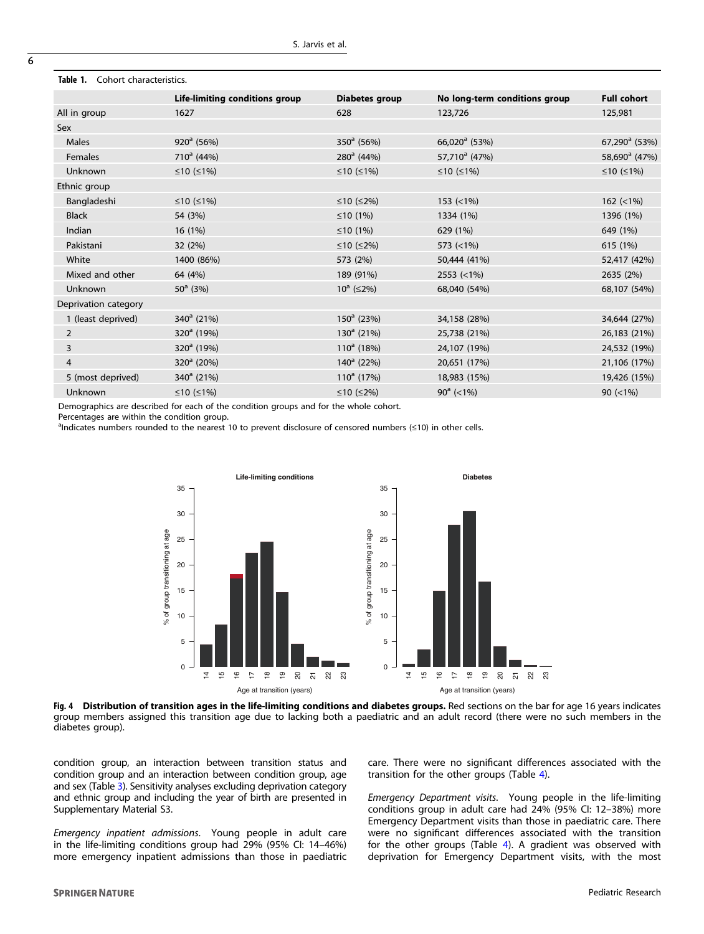| CONOR CHARGE DRUGS.  |                                |                     |                               |                           |
|----------------------|--------------------------------|---------------------|-------------------------------|---------------------------|
|                      | Life-limiting conditions group | Diabetes group      | No long-term conditions group | <b>Full cohort</b>        |
| All in group         | 1627                           | 628                 | 123,726                       | 125,981                   |
| Sex                  |                                |                     |                               |                           |
| Males                | $920^a$ (56%)                  | $350^{\circ}$ (56%) | $66,020^{\circ}$ (53%)        | $67,290^a$ (53%)          |
| Females              | $710^a$ (44%)                  | $280^a$ (44%)       | 57,710 $^{\circ}$ (47%)       | 58,690 <sup>a</sup> (47%) |
| Unknown              | ≤10 $(≤1%)$                    | ≤10 $(≤1%)$         | ≤10 $(≤1%)$                   | ≤10 $(≤1%)$               |
| Ethnic group         |                                |                     |                               |                           |
| Bangladeshi          | ≤10 $(≤1%)$                    | ≤10 $(≤2%)$         | $153$ (<1%)                   | $162$ (<1%)               |
| <b>Black</b>         | 54 (3%)                        | ≤10 $(1%)$          | 1334 (1%)                     | 1396 (1%)                 |
| Indian               | 16(1%)                         | ≤10 $(1%)$          | 629 (1%)                      | 649 (1%)                  |
| Pakistani            | 32(2%)                         | ≤10 $(≤2%)$         | 573 $(<1%)$                   | 615 (1%)                  |
| White                | 1400 (86%)                     | 573 (2%)            | 50,444 (41%)                  | 52,417 (42%)              |
| Mixed and other      | 64 (4%)                        | 189 (91%)           | $2553 (=1%)$                  | 2635 (2%)                 |
| Unknown              | $50^a$ (3%)                    | $10^a$ ( $\leq$ 2%) | 68,040 (54%)                  | 68,107 (54%)              |
| Deprivation category |                                |                     |                               |                           |
| 1 (least deprived)   | $340^a$ (21%)                  | $150^a$ (23%)       | 34,158 (28%)                  | 34,644 (27%)              |
| $\overline{2}$       | $320^a$ (19%)                  | $130^a$ (21%)       | 25,738 (21%)                  | 26,183 (21%)              |
| 3                    | $320^a$ (19%)                  | $110^a$ (18%)       | 24,107 (19%)                  | 24,532 (19%)              |
| $\overline{4}$       | $320^a$ (20%)                  | $140^a$ (22%)       | 20,651 (17%)                  | 21,106 (17%)              |
| 5 (most deprived)    | $340^a$ (21%)                  | $110^a$ (17%)       | 18,983 (15%)                  | 19,426 (15%)              |
| Unknown              | ≤10 $(≤1%)$                    | ≤10 $(≤2%)$         | $90^a$ (<1%)                  | 90 $(< 1\%)$              |
|                      |                                |                     |                               |                           |

# <span id="page-6-0"></span>Table 1. Cohort characteristics

Demographics are described for each of the condition groups and for the whole cohort.

Percentages are within the condition group.

andicates numbers rounded to the nearest 10 to prevent disclosure of censored numbers (≤10) in other cells.



Fig. 4 Distribution of transition ages in the life-limiting conditions and diabetes groups. Red sections on the bar for age 16 years indicates group members assigned this transition age due to lacking both a paediatric and an adult record (there were no such members in the diabetes group).

condition group, an interaction between transition status and condition group and an interaction between condition group, age and sex (Table [3\)](#page-9-0). Sensitivity analyses excluding deprivation category and ethnic group and including the year of birth are presented in Supplementary Material S3.

*Emergency inpatient admissions*. Young people in adult care in the life-limiting conditions group had 29% (95% CI: 14–46%) more emergency inpatient admissions than those in paediatric

care. There were no significant differences associated with the transition for the other groups (Table [4\)](#page-10-0).

*Emergency Department visits*. Young people in the life-limiting conditions group in adult care had 24% (95% CI: 12–38%) more Emergency Department visits than those in paediatric care. There were no significant differences associated with the transition for the other groups (Table [4](#page-10-0)). A gradient was observed with deprivation for Emergency Department visits, with the most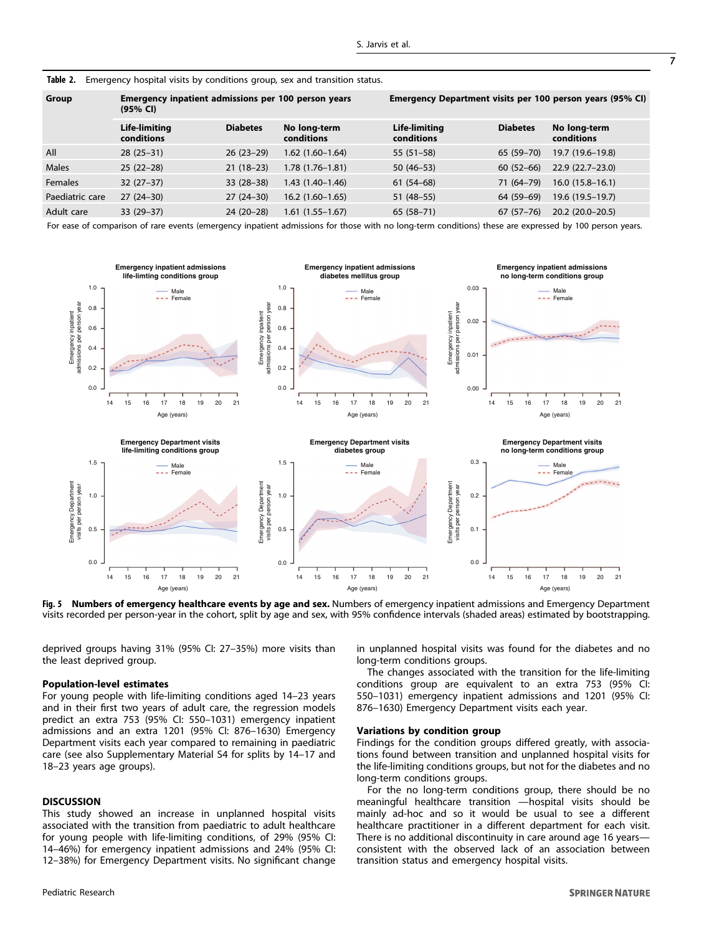<span id="page-7-0"></span>

| Group           | Emergency inpatient admissions per 100 person years<br>(95% CI) |                 |                            | Emergency Department visits per 100 person years (95% CI) |                 |                            |
|-----------------|-----------------------------------------------------------------|-----------------|----------------------------|-----------------------------------------------------------|-----------------|----------------------------|
|                 | Life-limiting<br>conditions                                     | <b>Diabetes</b> | No long-term<br>conditions | Life-limiting<br>conditions                               | <b>Diabetes</b> | No long-term<br>conditions |
| All             | $28(25-31)$                                                     | $26(23-29)$     | $1.62(1.60-1.64)$          | $55(51-58)$                                               | 65 (59-70)      | 19.7 (19.6–19.8)           |
| <b>Males</b>    | $25(22-28)$                                                     | $21(18-23)$     | $1.78(1.76-1.81)$          | $50(46-53)$                                               | $60(52-66)$     | $22.9(22.7-23.0)$          |
| <b>Females</b>  | $32(27-37)$                                                     | $33(28-38)$     | $1.43(1.40-1.46)$          | $61(54-68)$                                               | 71 (64-79)      | $16.0(15.8-16.1)$          |
| Paediatric care | $27(24-30)$                                                     | $27(24-30)$     | $16.2(1.60-1.65)$          | $51(48-55)$                                               | 64 (59-69)      | 19.6 (19.5–19.7)           |
| Adult care      | $33(29-37)$                                                     | $24(20-28)$     | $1.61(1.55-1.67)$          | $65(58-71)$                                               | $67(57-76)$     | $20.2(20.0-20.5)$          |

For ease of comparison of rare events (emergency inpatient admissions for those with no long-term conditions) these are expressed by 100 person years.



Fig. 5 Numbers of emergency healthcare events by age and sex. Numbers of emergency inpatient admissions and Emergency Department visits recorded per person-year in the cohort, split by age and sex, with 95% confidence intervals (shaded areas) estimated by bootstrapping.

deprived groups having 31% (95% CI: 27–35%) more visits than the least deprived group.

#### Population-level estimates

For young people with life-limiting conditions aged 14–23 years and in their first two years of adult care, the regression models predict an extra 753 (95% CI: 550–1031) emergency inpatient admissions and an extra 1201 (95% CI: 876–1630) Emergency Department visits each year compared to remaining in paediatric care (see also Supplementary Material S4 for splits by 14–17 and 18–23 years age groups).

#### **DISCUSSION**

This study showed an increase in unplanned hospital visits associated with the transition from paediatric to adult healthcare for young people with life-limiting conditions, of 29% (95% CI: 14–46%) for emergency inpatient admissions and 24% (95% CI: 12–38%) for Emergency Department visits. No significant change in unplanned hospital visits was found for the diabetes and no long-term conditions groups.

The changes associated with the transition for the life-limiting conditions group are equivalent to an extra 753 (95% CI: 550–1031) emergency inpatient admissions and 1201 (95% CI: 876–1630) Emergency Department visits each year.

#### Variations by condition group

Findings for the condition groups differed greatly, with associations found between transition and unplanned hospital visits for the life-limiting conditions groups, but not for the diabetes and no long-term conditions groups.

For the no long-term conditions group, there should be no meaningful healthcare transition —hospital visits should be mainly ad-hoc and so it would be usual to see a different healthcare practitioner in a different department for each visit. There is no additional discontinuity in care around age 16 years consistent with the observed lack of an association between transition status and emergency hospital visits.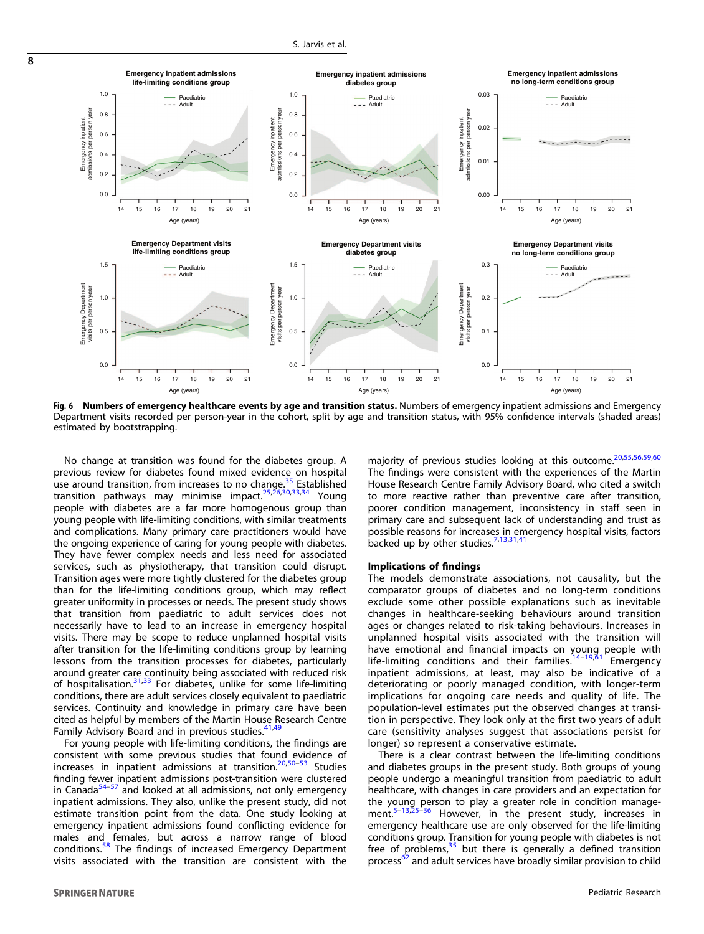

Fig. 6 Numbers of emergency healthcare events by age and transition status. Numbers of emergency inpatient admissions and Emergency Department visits recorded per person-year in the cohort, split by age and transition status, with 95% confidence intervals (shaded areas) estimated by bootstrapping.

No change at transition was found for the diabetes group. A previous review for diabetes found mixed evidence on hospital we can busine transition, from increases to no change.<sup>[35](#page-11-0)</sup> Established<br>transition, nathways, may minimise impact  $25,26,30,33,34$ . Young transition pathways may minimise impact. $25\frac{25}{3}$ people with diabetes are a far more homogenous group than young people with life-limiting conditions, with similar treatments and complications. Many primary care practitioners would have the ongoing experience of caring for young people with diabetes. They have fewer complex needs and less need for associated services, such as physiotherapy, that transition could disrupt. Transition ages were more tightly clustered for the diabetes group than for the life-limiting conditions group, which may reflect greater uniformity in processes or needs. The present study shows that transition from paediatric to adult services does not necessarily have to lead to an increase in emergency hospital visits. There may be scope to reduce unplanned hospital visits after transition for the life-limiting conditions group by learning lessons from the transition processes for diabetes, particularly around greater care continuity being associated with reduced risk of hospitalisation. $31,33$  For diabetes, unlike for some life-limiting conditions, there are adult services closely equivalent to paediatric services. Continuity and knowledge in primary care have been cited as helpful by members of the Martin House Research Centre Family Advisory Board and in previous studies.<sup>[41](#page-11-0),[49](#page-11-0)</sup>

For young people with life-limiting conditions, the findings are consistent with some previous studies that found evidence of increases in inpatient admissions at transition. $20,50-53$  $20,50-53$  $20,50-53$  Studies finding fewer inpatient admissions post-transition were clustered in Canada $54-57$  $54-57$  $54-57$  and looked at all admissions, not only emergency inpatient admissions. They also, unlike the present study, did not estimate transition point from the data. One study looking at emergency inpatient admissions found conflicting evidence for males and females, but across a narrow range of blood conditions.<sup>[58](#page-12-0)</sup> The findings of increased Emergency Department visits associated with the transition are consistent with the majority of previous studies looking at this outcome.<sup>[20,](#page-11-0)[55,56,59](#page-12-0),[60](#page-12-0)</sup> The findings were consistent with the experiences of the Martin House Research Centre Family Advisory Board, who cited a switch to more reactive rather than preventive care after transition, poorer condition management, inconsistency in staff seen in primary care and subsequent lack of understanding and trust as possible reasons for increases in emergency hospital visits, factors backed up by other studies.<sup>[7](#page-11-0),[13](#page-11-0),[31,41](#page-11-0)</sup>

# Implications of findings

The models demonstrate associations, not causality, but the comparator groups of diabetes and no long-term conditions exclude some other possible explanations such as inevitable changes in healthcare-seeking behaviours around transition ages or changes related to risk-taking behaviours. Increases in unplanned hospital visits associated with the transition will have emotional and financial impacts on young people with life-limiting conditions and their families. $14-19,61$  $14-19,61$  $14-19,61$  $14-19,61$  Emergency inpatient admissions, at least, may also be indicative of a deteriorating or poorly managed condition, with longer-term implications for ongoing care needs and quality of life. The population-level estimates put the observed changes at transition in perspective. They look only at the first two years of adult care (sensitivity analyses suggest that associations persist for longer) so represent a conservative estimate.

There is a clear contrast between the life-limiting conditions and diabetes groups in the present study. Both groups of young people undergo a meaningful transition from paediatric to adult healthcare, with changes in care providers and an expectation for the young person to play a greater role in condition management.[5](#page-11-0)–[13,25](#page-11-0)–[36](#page-11-0) However, in the present study, increases in emergency healthcare use are only observed for the life-limiting conditions group. Transition for young people with diabetes is not free of problems, $35$  but there is generally a defined transition process<sup>[62](#page-12-0)</sup> and adult services have broadly similar provision to child

<span id="page-8-0"></span> $\overline{8}$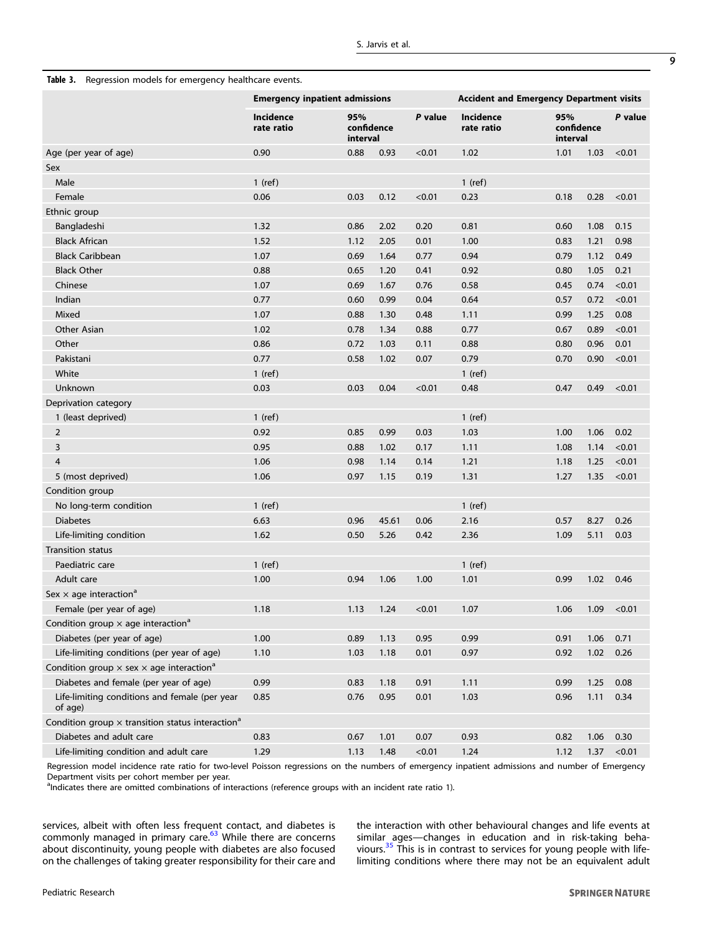|                                                                     | <b>Emergency inpatient admissions</b> |                               |       |         | <b>Accident and Emergency Department visits</b> |                               |      |         |
|---------------------------------------------------------------------|---------------------------------------|-------------------------------|-------|---------|-------------------------------------------------|-------------------------------|------|---------|
|                                                                     | <b>Incidence</b><br>rate ratio        | 95%<br>confidence<br>interval |       | P value | <b>Incidence</b><br>rate ratio                  | 95%<br>confidence<br>interval |      | P value |
| Age (per year of age)                                               | 0.90                                  | 0.88                          | 0.93  | < 0.01  | 1.02                                            | 1.01                          | 1.03 | < 0.01  |
| Sex                                                                 |                                       |                               |       |         |                                                 |                               |      |         |
| Male                                                                | $1$ (ref)                             |                               |       |         | $1$ (ref)                                       |                               |      |         |
| Female                                                              | 0.06                                  | 0.03                          | 0.12  | < 0.01  | 0.23                                            | 0.18                          | 0.28 | < 0.01  |
| Ethnic group                                                        |                                       |                               |       |         |                                                 |                               |      |         |
| Bangladeshi                                                         | 1.32                                  | 0.86                          | 2.02  | 0.20    | 0.81                                            | 0.60                          | 1.08 | 0.15    |
| <b>Black African</b>                                                | 1.52                                  | 1.12                          | 2.05  | 0.01    | 1.00                                            | 0.83                          | 1.21 | 0.98    |
| <b>Black Caribbean</b>                                              | 1.07                                  | 0.69                          | 1.64  | 0.77    | 0.94                                            | 0.79                          | 1.12 | 0.49    |
| <b>Black Other</b>                                                  | 0.88                                  | 0.65                          | 1.20  | 0.41    | 0.92                                            | 0.80                          | 1.05 | 0.21    |
| Chinese                                                             | 1.07                                  | 0.69                          | 1.67  | 0.76    | 0.58                                            | 0.45                          | 0.74 | < 0.01  |
| Indian                                                              | 0.77                                  | 0.60                          | 0.99  | 0.04    | 0.64                                            | 0.57                          | 0.72 | < 0.01  |
| Mixed                                                               | 1.07                                  | 0.88                          | 1.30  | 0.48    | 1.11                                            | 0.99                          | 1.25 | 0.08    |
| Other Asian                                                         | 1.02                                  | 0.78                          | 1.34  | 0.88    | 0.77                                            | 0.67                          | 0.89 | < 0.01  |
| Other                                                               | 0.86                                  | 0.72                          | 1.03  | 0.11    | 0.88                                            | 0.80                          | 0.96 | 0.01    |
| Pakistani                                                           | 0.77                                  | 0.58                          | 1.02  | 0.07    | 0.79                                            | 0.70                          | 0.90 | < 0.01  |
| White                                                               | $1$ (ref)                             |                               |       |         | $1$ (ref)                                       |                               |      |         |
| Unknown                                                             | 0.03                                  | 0.03                          | 0.04  | < 0.01  | 0.48                                            | 0.47                          | 0.49 | < 0.01  |
| Deprivation category                                                |                                       |                               |       |         |                                                 |                               |      |         |
| 1 (least deprived)                                                  | $1$ (ref)                             |                               |       |         | $1$ (ref)                                       |                               |      |         |
| $\overline{2}$                                                      | 0.92                                  | 0.85                          | 0.99  | 0.03    | 1.03                                            | 1.00                          | 1.06 | 0.02    |
| 3                                                                   | 0.95                                  | 0.88                          | 1.02  | 0.17    | 1.11                                            | 1.08                          | 1.14 | < 0.01  |
| $\overline{4}$                                                      | 1.06                                  | 0.98                          | 1.14  | 0.14    | 1.21                                            | 1.18                          | 1.25 | < 0.01  |
| 5 (most deprived)                                                   | 1.06                                  | 0.97                          | 1.15  | 0.19    | 1.31                                            | 1.27                          | 1.35 | < 0.01  |
| Condition group                                                     |                                       |                               |       |         |                                                 |                               |      |         |
| No long-term condition                                              | $1$ (ref)                             |                               |       |         | $1$ (ref)                                       |                               |      |         |
| <b>Diabetes</b>                                                     | 6.63                                  | 0.96                          | 45.61 | 0.06    | 2.16                                            | 0.57                          | 8.27 | 0.26    |
| Life-limiting condition                                             | 1.62                                  | 0.50                          | 5.26  | 0.42    | 2.36                                            | 1.09                          | 5.11 | 0.03    |
| <b>Transition status</b>                                            |                                       |                               |       |         |                                                 |                               |      |         |
| Paediatric care                                                     | $1$ (ref)                             |                               |       |         | $1$ (ref)                                       |                               |      |         |
| Adult care                                                          | 1.00                                  | 0.94                          | 1.06  | 1.00    | 1.01                                            | 0.99                          | 1.02 | 0.46    |
| Sex $\times$ age interaction <sup>a</sup>                           |                                       |                               |       |         |                                                 |                               |      |         |
| Female (per year of age)                                            | 1.18                                  | 1.13                          | 1.24  | < 0.01  | 1.07                                            | 1.06                          | 1.09 | < 0.01  |
| Condition group $\times$ age interaction <sup>a</sup>               |                                       |                               |       |         |                                                 |                               |      |         |
| Diabetes (per year of age)                                          | 1.00                                  | 0.89                          | 1.13  | 0.95    | 0.99                                            | 0.91                          | 1.06 | 0.71    |
| Life-limiting conditions (per year of age)                          | 1.10                                  | 1.03                          | 1.18  | 0.01    | 0.97                                            | 0.92                          | 1.02 | 0.26    |
| Condition group $\times$ sex $\times$ age interaction <sup>a</sup>  |                                       |                               |       |         |                                                 |                               |      |         |
| Diabetes and female (per year of age)                               | 0.99                                  | 0.83                          | 1.18  | 0.91    | 1.11                                            | 0.99                          | 1.25 | 0.08    |
| Life-limiting conditions and female (per year<br>of age)            | 0.85                                  | 0.76                          | 0.95  | 0.01    | 1.03                                            | 0.96                          | 1.11 | 0.34    |
| Condition group $\times$ transition status interaction <sup>a</sup> |                                       |                               |       |         |                                                 |                               |      |         |
| Diabetes and adult care                                             | 0.83                                  | 0.67                          | 1.01  | 0.07    | 0.93                                            | 0.82                          | 1.06 | 0.30    |
| Life-limiting condition and adult care                              | 1.29                                  | 1.13                          | 1.48  | < 0.01  | 1.24                                            | 1.12                          | 1.37 | < 0.01  |

<span id="page-9-0"></span>Table 3. Regression models for emergency healthcare events.

Regression model incidence rate ratio for two-level Poisson regressions on the numbers of emergency inpatient admissions and number of Emergency Department visits per cohort member per year.

<sup>a</sup>Indicates there are omitted combinations of interactions (reference groups with an incident rate ratio 1).

services, albeit with often less frequent contact, and diabetes is commonly managed in primary care.<sup>[63](#page-12-0)</sup> While there are concerns about discontinuity, young people with diabetes are also focused on the challenges of taking greater responsibility for their care and

the interaction with other behavioural changes and life events at similar ages—changes in education and in risk-taking beha-viours.<sup>[35](#page-11-0)</sup> This is in contrast to services for young people with lifelimiting conditions where there may not be an equivalent adult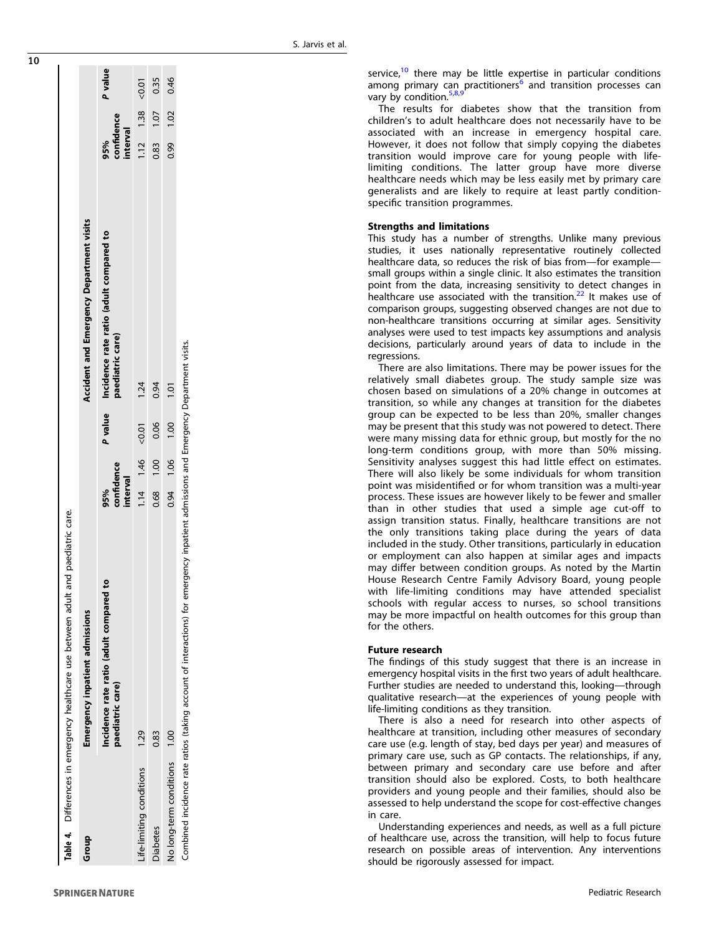<span id="page-10-0"></span>

|                                | Table 4. Differences in emergency healthcare use between adult and paediatric care.                                                 |                               |      |         |                                                             |                               |      |         |
|--------------------------------|-------------------------------------------------------------------------------------------------------------------------------------|-------------------------------|------|---------|-------------------------------------------------------------|-------------------------------|------|---------|
| Group                          | <b>Emergency inpatient admissions</b>                                                                                               |                               |      |         | Accident and Emergency Department visits                    |                               |      |         |
|                                | ۰<br>Incidence rate ratio (adult compared<br>paediatric care)                                                                       | confidence<br>interval<br>95% |      | P value | Incidence rate ratio (adult compared to<br>paediatric care) | confidence<br>interval<br>95% |      | P value |
| ife-limiting conditions        | 1.29                                                                                                                                | 1.14 1.46                     |      | $-0.01$ | 1.24                                                        | $1.12$ 1.38 < 0.01            |      |         |
| <b>Diabetes</b>                | 0.83                                                                                                                                | 0.68                          | 0.00 | 0.06    | 0.94                                                        | 0.83                          | 1.07 | 0.35    |
| <b>Jo long-term conditions</b> | 00.1                                                                                                                                | 0.94 1.06 1.00                |      |         | 1.01                                                        | 0.99                          | 1.02 | 0.46    |
|                                | Combined incidence rate ratios (taking account of interactions) for emergency inpatient admissions and Emergency Department visits. |                               |      |         |                                                             |                               |      |         |

service, $10$  there may be little expertise in particular conditions among primary can practitioners<sup>[6](#page-11-0)</sup> and transition processes can vary by condition.<sup>[5](#page-11-0),[8](#page-11-0)</sup> , , [9](#page-11-0)

The results for diabetes show that the transition from children 's to adult healthcare does not necessarily have to be associated with an increase in emergency hospital care. However, it does not follow that simply copying the diabetes transition would improve care for young people with lifelimiting conditions. The latter group have more diverse healthcare needs which may be less easily met by primary care generalists and are likely to require at least partly conditionspecific transition programmes.

# Strengths and limitations

This study has a number of strengths. Unlike many previous studies, it uses nationally representative routinely collected healthcare data, so reduces the risk of bias from-for examplesmall groups within a single clinic. It also estimates the transition point from the data, increasing sensitivity to detect changes in healthcare use associated with the transition.<sup>[22](#page-11-0)</sup> It makes use of comparison groups, suggesting observed changes are not due to non-healthcare transitions occurring at similar ages. Sensitivity analyses were used to test impacts key assumptions and analysis decisions, particularly around years of data to include in the regressions.

There are also limitations. There may be power issues for the relatively small diabetes group. The study sample size was chosen based on simulations of a 20% change in outcomes at transition, so while any changes at transition for the diabetes group can be expected to be less than 20%, smaller changes may be present that this study was not powered to detect. There were many missing data for ethnic group, but mostly for the no long-term conditions group, with more than 50% missing. Sensitivity analyses suggest this had little effect on estimates. There will also likely be some individuals for whom transition point was misidenti fied or for whom transition was a multi-year process. These issues are however likely to be fewer and smaller than in other studies that used a simple age cut-off to assign transition status. Finally, healthcare transitions are not the only transitions taking place during the years of data included in the study. Other transitions, particularly in education or employment can also happen at similar ages and impacts may differ between condition groups. As noted by the Martin House Research Centre Family Advisory Board, young people with life-limiting conditions may have attended specialist schools with regular access to nurses, so school transitions may be more impactful on health outcomes for this group than for the others.

#### Future research

The findings of this study suggest that there is an increase in emergency hospital visits in the first two years of adult healthcare. Further studies are needed to understand this, looking —through qualitative research —at the experiences of young people with life-limiting conditions as they transition.

There is also a need for research into other aspects of healthcare at transition, including other measures of secondary care use (e.g. length of stay, bed days per year) and measures of primary care use, such as GP contacts. The relationships, if any, between primary and secondary care use before and after transition should also be explored. Costs, to both healthcare providers and young people and their families, should also be assessed to help understand the scope for cost-effective changes in care.

Understanding experiences and needs, as well as a full picture of healthcare use, across the transition, will help to focus future research on possible areas of intervention. Any interventions should be rigorously assessed for impact.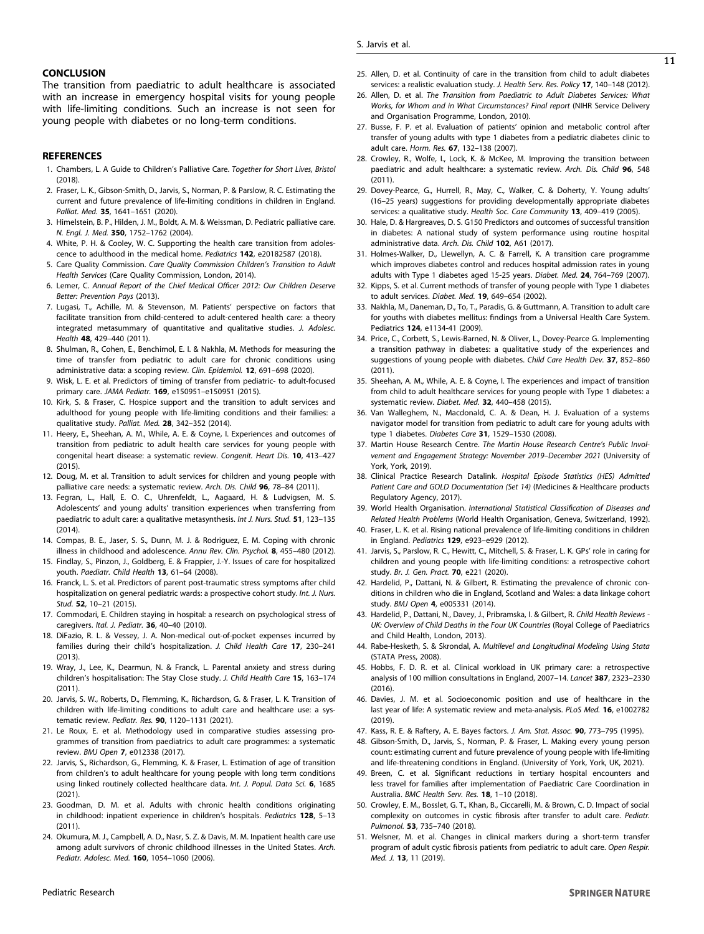#### <span id="page-11-0"></span>**CONCLUSION**

The transition from paediatric to adult healthcare is associated with an increase in emergency hospital visits for young people with life-limiting conditions. Such an increase is not seen for young people with diabetes or no long-term conditions.

# **REFERENCES**

- 1. Chambers, L. A Guide to Children's Palliative Care. *Together for Short Lives, Bristol* (2018).
- 2. Fraser, L. K., Gibson-Smith, D., Jarvis, S., Norman, P. & Parslow, R. C. Estimating the current and future prevalence of life-limiting conditions in children in England. *Palliat. Med.* 35, 1641–1651 (2020).
- 3. Himelstein, B. P., Hilden, J. M., Boldt, A. M. & Weissman, D. Pediatric palliative care. *N. Engl. J. Med.* 350, 1752–1762 (2004).
- 4. White, P. H. & Cooley, W. C. Supporting the health care transition from adolescence to adulthood in the medical home. *Pediatrics* 142, e20182587 (2018).
- 5. Care Quality Commission. *Care Quality Commission Children*'*s Transition to Adult Health Services* (Care Quality Commission, London, 2014).
- 6. Lemer, C. *Annual Report of the Chief Medical Of*fi*cer 2012: Our Children Deserve Better: Prevention Pays* (2013).
- 7. Lugasi, T., Achille, M. & Stevenson, M. Patients' perspective on factors that facilitate transition from child-centered to adult-centered health care: a theory integrated metasummary of quantitative and qualitative studies. *J. Adolesc. Health* 48, 429–440 (2011).
- 8. Shulman, R., Cohen, E., Benchimol, E. I. & Nakhla, M. Methods for measuring the time of transfer from pediatric to adult care for chronic conditions using administrative data: a scoping review. *Clin. Epidemiol.* 12, 691–698 (2020).
- 9. Wisk, L. E. et al. Predictors of timing of transfer from pediatric- to adult-focused primary care. *JAMA Pediatr.* 169, e150951–e150951 (2015).
- 10. Kirk, S. & Fraser, C. Hospice support and the transition to adult services and adulthood for young people with life-limiting conditions and their families: a qualitative study. *Palliat. Med.* 28, 342–352 (2014).
- 11. Heery, E., Sheehan, A. M., While, A. E. & Coyne, I. Experiences and outcomes of transition from pediatric to adult health care services for young people with congenital heart disease: a systematic review. *Congenit. Heart Dis.* 10, 413–427 (2015).
- 12. Doug, M. et al. Transition to adult services for children and young people with palliative care needs: a systematic review. *Arch. Dis. Child* 96, 78–84 (2011).
- 13. Fegran, L., Hall, E. O. C., Uhrenfeldt, L., Aagaard, H. & Ludvigsen, M. S. Adolescents' and young adults' transition experiences when transferring from paediatric to adult care: a qualitative metasynthesis. *Int J. Nurs. Stud.* 51, 123–135 (2014).
- 14. Compas, B. E., Jaser, S. S., Dunn, M. J. & Rodriguez, E. M. Coping with chronic illness in childhood and adolescence. *Annu Rev. Clin. Psychol.* 8, 455–480 (2012).
- 15. Findlay, S., Pinzon, J., Goldberg, E. & Frappier, J.-Y. Issues of care for hospitalized youth. *Paediatr. Child Health* 13, 61–64 (2008).
- 16. Franck, L. S. et al. Predictors of parent post-traumatic stress symptoms after child hospitalization on general pediatric wards: a prospective cohort study. *Int. J. Nurs. Stud.* 52, 10–21 (2015).
- 17. Commodari, E. Children staying in hospital: a research on psychological stress of caregivers. *Ital. J. Pediatr.* 36, 40–40 (2010).
- 18. DiFazio, R. L. & Vessey, J. A. Non-medical out-of-pocket expenses incurred by families during their child's hospitalization. *J. Child Health Care* 17, 230–241 (2013).
- 19. Wray, J., Lee, K., Dearmun, N. & Franck, L. Parental anxiety and stress during children's hospitalisation: The Stay Close study. *J. Child Health Care* 15, 163–174 (2011).
- 20. Jarvis, S. W., Roberts, D., Flemming, K., Richardson, G. & Fraser, L. K. Transition of children with life-limiting conditions to adult care and healthcare use: a systematic review. *Pediatr. Res.* 90, 1120–1131 (2021).
- 21. Le Roux, E. et al. Methodology used in comparative studies assessing programmes of transition from paediatrics to adult care programmes: a systematic review. *BMJ Open* 7, e012338 (2017).
- 22. Jarvis, S., Richardson, G., Flemming, K. & Fraser, L. Estimation of age of transition from children's to adult healthcare for young people with long term conditions using linked routinely collected healthcare data. *Int. J. Popul. Data Sci.* 6, 1685 (2021).
- 23. Goodman, D. M. et al. Adults with chronic health conditions originating in childhood: inpatient experience in children's hospitals. *Pediatrics* 128, 5–13 (2011).
- 24. Okumura, M. J., Campbell, A. D., Nasr, S. Z. & Davis, M. M. Inpatient health care use among adult survivors of chronic childhood illnesses in the United States. *Arch. Pediatr. Adolesc. Med.* 160, 1054–1060 (2006).
- 25. Allen, D. et al. Continuity of care in the transition from child to adult diabetes services: a realistic evaluation study. *J. Health Serv. Res. Policy* 17, 140–148 (2012).
- 26. Allen, D. et al. *The Transition from Paediatric to Adult Diabetes Services: What Works, for Whom and in What Circumstances? Final report* (NIHR Service Delivery and Organisation Programme, London, 2010).
- 27. Busse, F. P. et al. Evaluation of patients' opinion and metabolic control after transfer of young adults with type 1 diabetes from a pediatric diabetes clinic to adult care. *Horm. Res.* 67, 132–138 (2007).
- 28. Crowley, R., Wolfe, I., Lock, K. & McKee, M. Improving the transition between paediatric and adult healthcare: a systematic review. *Arch. Dis. Child* 96, 548 (2011).
- 29. Dovey-Pearce, G., Hurrell, R., May, C., Walker, C. & Doherty, Y. Young adults' (16–25 years) suggestions for providing developmentally appropriate diabetes services: a qualitative study. *Health Soc. Care Community* 13, 409–419 (2005).
- 30. Hale, D. & Hargreaves, D. S. G150 Predictors and outcomes of successful transition in diabetes: A national study of system performance using routine hospital administrative data. *Arch. Dis. Child* 102, A61 (2017).
- 31. Holmes-Walker, D., Llewellyn, A. C. & Farrell, K. A transition care programme which improves diabetes control and reduces hospital admission rates in young adults with Type 1 diabetes aged 15-25 years. *Diabet. Med.* 24, 764–769 (2007).
- 32. Kipps, S. et al. Current methods of transfer of young people with Type 1 diabetes to adult services. *Diabet. Med.* 19, 649–654 (2002).
- 33. Nakhla, M., Daneman, D., To, T., Paradis, G. & Guttmann, A. Transition to adult care for youths with diabetes mellitus: findings from a Universal Health Care System. Pediatrics 124, e1134-41 (2009).
- 34. Price, C., Corbett, S., Lewis-Barned, N. & Oliver, L., Dovey-Pearce G. Implementing a transition pathway in diabetes: a qualitative study of the experiences and suggestions of young people with diabetes. *Child Care Health Dev.* 37, 852–860 (2011).
- 35. Sheehan, A. M., While, A. E. & Coyne, I. The experiences and impact of transition from child to adult healthcare services for young people with Type 1 diabetes: a systematic review. *Diabet. Med.* 32, 440–458 (2015).
- 36. Van Walleghem, N., Macdonald, C. A. & Dean, H. J. Evaluation of a systems navigator model for transition from pediatric to adult care for young adults with type 1 diabetes. *Diabetes Care* 31, 1529–1530 (2008).
- 37. Martin House Research Centre. *The Martin House Research Centre*'*s Public Involvement and Engagement Strategy: November 2019*–*December 2021* (University of York, York, 2019).
- 38. Clinical Practice Research Datalink. *Hospital Episode Statistics (HES) Admitted Patient Care and GOLD Documentation (Set 14)* (Medicines & Healthcare products Regulatory Agency, 2017).
- 39. World Health Organisation. *International Statistical Classi*fi*cation of Diseases and Related Health Problems* (World Health Organisation, Geneva, Switzerland, 1992).
- 40. Fraser, L. K. et al. Rising national prevalence of life-limiting conditions in children in England. *Pediatrics* 129, e923–e929 (2012).
- 41. Jarvis, S., Parslow, R. C., Hewitt, C., Mitchell, S. & Fraser, L. K. GPs' role in caring for children and young people with life-limiting conditions: a retrospective cohort study. *Br. J. Gen. Pract.* 70, e221 (2020).
- 42. Hardelid, P., Dattani, N. & Gilbert, R. Estimating the prevalence of chronic conditions in children who die in England, Scotland and Wales: a data linkage cohort study. *BMJ Open* 4, e005331 (2014).
- 43. Hardelid, P., Dattani, N., Davey, J., Pribramska, I. & Gilbert, R. *Child Health Reviews - UK: Overview of Child Deaths in the Four UK Countries* (Royal College of Paediatrics and Child Health, London, 2013).
- 44. Rabe-Hesketh, S. & Skrondal, A. *Multilevel and Longitudinal Modeling Using Stata* (STATA Press, 2008).
- 45. Hobbs, F. D. R. et al. Clinical workload in UK primary care: a retrospective analysis of 100 million consultations in England, 2007–14. *Lancet* 387, 2323–2330 (2016).
- 46. Davies, J. M. et al. Socioeconomic position and use of healthcare in the last year of life: A systematic review and meta-analysis. *PLoS Med.* 16, e1002782 (2019).
- 47. Kass, R. E. & Raftery, A. E. Bayes factors. *J. Am. Stat. Assoc.* 90, 773–795 (1995).
- 48. Gibson-Smith, D., Jarvis, S., Norman, P. & Fraser, L. Making every young person count: estimating current and future prevalence of young people with life-limiting and life-threatening conditions in England. (University of York, York, UK, 2021).
- 49. Breen, C. et al. Significant reductions in tertiary hospital encounters and less travel for families after implementation of Paediatric Care Coordination in Australia. *BMC Health Serv. Res.* 18, 1–10 (2018).
- 50. Crowley, E. M., Bosslet, G. T., Khan, B., Ciccarelli, M. & Brown, C. D. Impact of social complexity on outcomes in cystic fibrosis after transfer to adult care. *Pediatr. Pulmonol.* 53, 735–740 (2018).
- 51. Welsner, M. et al. Changes in clinical markers during a short-term transfer program of adult cystic fibrosis patients from pediatric to adult care. *Open Respir. Med. J.* 13, 11 (2019).